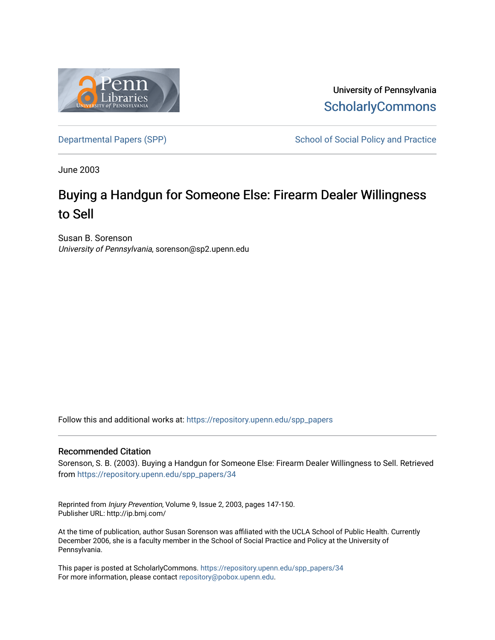

University of Pennsylvania **ScholarlyCommons** 

[Departmental Papers \(SPP\)](https://repository.upenn.edu/spp_papers) School of Social Policy and Practice

June 2003

# Buying a Handgun for Someone Else: Firearm Dealer Willingness to Sell

Susan B. Sorenson University of Pennsylvania, sorenson@sp2.upenn.edu

Follow this and additional works at: [https://repository.upenn.edu/spp\\_papers](https://repository.upenn.edu/spp_papers?utm_source=repository.upenn.edu%2Fspp_papers%2F34&utm_medium=PDF&utm_campaign=PDFCoverPages) 

# Recommended Citation

Sorenson, S. B. (2003). Buying a Handgun for Someone Else: Firearm Dealer Willingness to Sell. Retrieved from [https://repository.upenn.edu/spp\\_papers/34](https://repository.upenn.edu/spp_papers/34?utm_source=repository.upenn.edu%2Fspp_papers%2F34&utm_medium=PDF&utm_campaign=PDFCoverPages)

Reprinted from Injury Prevention, Volume 9, Issue 2, 2003, pages 147-150. Publisher URL: http://ip.bmj.com/

At the time of publication, author Susan Sorenson was affiliated with the UCLA School of Public Health. Currently December 2006, she is a faculty member in the School of Social Practice and Policy at the University of Pennsylvania.

This paper is posted at ScholarlyCommons. [https://repository.upenn.edu/spp\\_papers/34](https://repository.upenn.edu/spp_papers/34)  For more information, please contact [repository@pobox.upenn.edu.](mailto:repository@pobox.upenn.edu)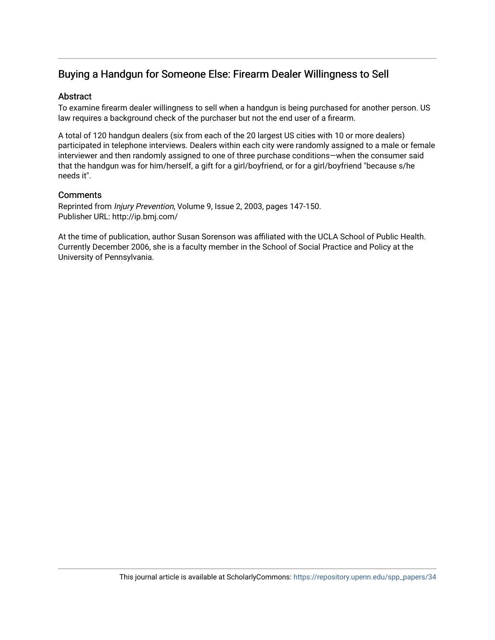# Buying a Handgun for Someone Else: Firearm Dealer Willingness to Sell

# **Abstract**

To examine firearm dealer willingness to sell when a handgun is being purchased for another person. US law requires a background check of the purchaser but not the end user of a firearm.

A total of 120 handgun dealers (six from each of the 20 largest US cities with 10 or more dealers) participated in telephone interviews. Dealers within each city were randomly assigned to a male or female interviewer and then randomly assigned to one of three purchase conditions—when the consumer said that the handgun was for him/herself, a gift for a girl/boyfriend, or for a girl/boyfriend "because s/he needs it".

# **Comments**

Reprinted from Injury Prevention, Volume 9, Issue 2, 2003, pages 147-150. Publisher URL: http://ip.bmj.com/

At the time of publication, author Susan Sorenson was affiliated with the UCLA School of Public Health. Currently December 2006, she is a faculty member in the School of Social Practice and Policy at the University of Pennsylvania.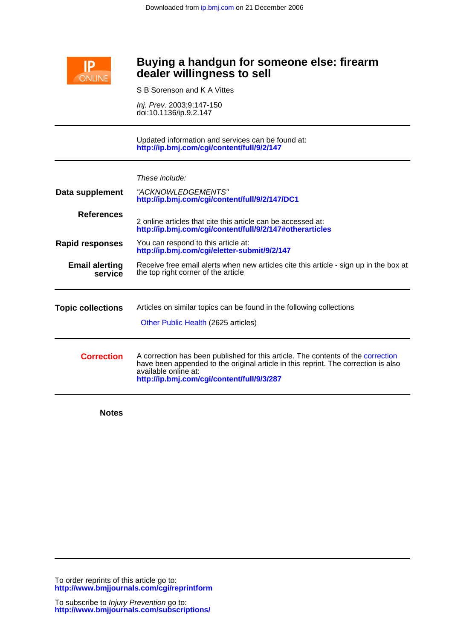

# **dealer willingness to sell Buying a handgun for someone else: firearm**

S B Sorenson and K A Vittes

doi:10.1136/ip.9.2.147 Inj. Prev. 2003;9;147-150

**<http://ip.bmj.com/cgi/content/full/9/2/147>** Updated information and services can be found at:

| These include: |  |
|----------------|--|
|                |  |

| Data supplement                  | "ACKNOWLEDGEMENTS"<br>http://ip.bmj.com/cgi/content/full/9/2/147/DC1                                                                                                                                                                         |
|----------------------------------|----------------------------------------------------------------------------------------------------------------------------------------------------------------------------------------------------------------------------------------------|
| <b>References</b>                | 2 online articles that cite this article can be accessed at:<br>http://ip.bmj.com/cgi/content/full/9/2/147#otherarticles                                                                                                                     |
| Rapid responses                  | You can respond to this article at:<br>http://ip.bmj.com/cgi/eletter-submit/9/2/147                                                                                                                                                          |
| <b>Email alerting</b><br>service | Receive free email alerts when new articles cite this article - sign up in the box at<br>the top right corner of the article                                                                                                                 |
| <b>Topic collections</b>         | Articles on similar topics can be found in the following collections<br>Other Public Health (2625 articles)                                                                                                                                  |
| <b>Correction</b>                | A correction has been published for this article. The contents of the correction<br>have been appended to the original article in this reprint. The correction is also<br>available online at:<br>http://ip.bmj.com/cgi/content/full/9/3/287 |

**Notes**

**<http://www.bmjjournals.com/cgi/reprintform>** To order reprints of this article go to: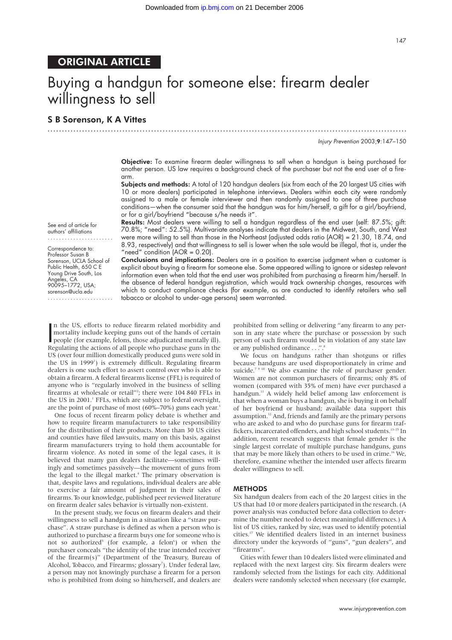# ORIGINAL ARTICLE

# Buying a handgun for someone else: firearm dealer willingness to sell

.............................................................................................................................

# S B Sorenson, K A Vittes

*Injury Prevention* 2003;9:147–150

Objective: To examine firearm dealer willingness to sell when a handgun is being purchased for another person. US law requires a background check of the purchaser but not the end user of a firearm.

Subiects and methods: A total of 120 handgun dealers (six from each of the 20 largest US cities with 10 or more dealers) participated in telephone interviews. Dealers within each city were randomly assigned to a male or female interviewer and then randomly assigned to one of three purchase conditions—when the consumer said that the handgun was for him/herself, a gift for a girl/boyfriend, or for a girl/boyfriend "because s/he needs it".

See end of article for authors' affiliations .......................

Correspondence to: Professor Susan B Sorenson, UCLA School of Public Health, 650 C E Young Drive South, Los Angeles, CA 90095–1772, USA; sorenson@ucla.edu ....................... Results: Most dealers were willing to sell a handgun regardless of the end user (self: 87.5%; gift: 70.8%; "need": 52.5%). Multivariate analyses indicate that dealers in the Midwest, South, and West were more willing to sell than those in the Northeast (adjusted odds ratio (AOR) = 21.30, 18.74, and 8.93, respectively) and that willingness to sell is lower when the sale would be illegal, that is, under the "need" condition (AOR = 0.20).

Conclusions and implications: Dealers are in a position to exercise judgment when a customer is explicit about buying a firearm for someone else. Some appeared willing to ignore or sidestep relevant information even when told that the end user was prohibited from purchasing a firearm him/herself. In the absence of federal handgun registration, which would track ownership changes, resources with which to conduct compliance checks (for example, as are conducted to identify retailers who sell tobacco or alcohol to under-age persons) seem warranted.

n the US, efforts to reduce firearm related morbidity and<br>mortality include keeping guns out of the hands of certain<br>people (for example, felons, those adjudicated mentally ill).<br>Regulating the actions of all people who pu n the US, efforts to reduce firearm related morbidity and mortality include keeping guns out of the hands of certain Regulating the actions of all people who purchase guns in the US (over four million domestically produced guns were sold in the US in 1999<sup>1</sup>) is extremely difficult. Regulating firearm dealers is one such effort to assert control over who is able to obtain a firearm. A federal firearms license (FFL) is required of anyone who is "regularly involved in the business of selling firearms at wholesale or retail"<sup>2</sup>; there were 104 840 FFLs in the US in 2001.<sup>1</sup> FFLs, which are subject to federal oversight, are the point of purchase of most (60%–70%) guns each year.<sup>3</sup>

One focus of recent firearm policy debate is whether and how to require firearm manufacturers to take responsibility for the distribution of their products. More than 30 US cities and counties have filed lawsuits, many on this basis, against firearm manufacturers trying to hold them accountable for firearm violence. As noted in some of the legal cases, it is believed that many gun dealers facilitate—sometimes willingly and sometimes passively—the movement of guns from the legal to the illegal market.<sup>4</sup> The primary observation is that, despite laws and regulations, individual dealers are able to exercise a fair amount of judgment in their sales of firearms. To our knowledge, published peer reviewed literature on firearm dealer sales behavior is virtually non-existent.

In the present study, we focus on firearm dealers and their willingness to sell a handgun in a situation like a "straw purchase". A straw purchase is defined as when a person who is authorized to purchase a firearm buys one for someone who is not so authorized<sup>5</sup> (for example, a felon<sup>6</sup>) or when the purchaser conceals "the identity of the true intended receiver of the firearm(s)" (Department of the Treasury, Bureau of Alcohol, Tobacco, and Firearms; glossary<sup>7</sup>). Under federal law, a person may not knowingly purchase a firearm for a person who is prohibited from doing so him/herself, and dealers are

prohibited from selling or delivering "any firearm to any person in any state where the purchase or possession by such person of such firearm would be in violation of any state law or any published ordinance . . .".<sup>8</sup>

We focus on handguns rather than shotguns or rifles because handguns are used disproportionately in crime and suicide.<sup>7 9 10</sup> We also examine the role of purchaser gender. Women are not common purchasers of firearms; only 8% of women (compared with 35% of men) have ever purchased a handgun.<sup>11</sup> A widely held belief among law enforcement is that when a woman buys a handgun, she is buying it on behalf of her boyfriend or husband; available data support this assumption.12 And, friends and family are the primary persons who are asked to and who do purchase guns for firearm traffickers, incarcerated offenders, and high school students.13–15 In addition, recent research suggests that female gender is the single largest correlate of multiple purchase handguns, guns that may be more likely than others to be used in crime.<sup>16</sup> We, therefore, examine whether the intended user affects firearm dealer willingness to sell.

#### **METHODS**

Six handgun dealers from each of the 20 largest cities in the US that had 10 or more dealers participated in the research. (A power analysis was conducted before data collection to determine the number needed to detect meaningful differences.) A list of US cities, ranked by size, was used to identify potential cities.17 We identified dealers listed in an internet business directory under the keywords of "guns", "gun dealers", and "firearms".

Cities with fewer than 10 dealers listed were eliminated and replaced with the next largest city. Six firearm dealers were randomly selected from the listings for each city. Additional dealers were randomly selected when necessary (for example,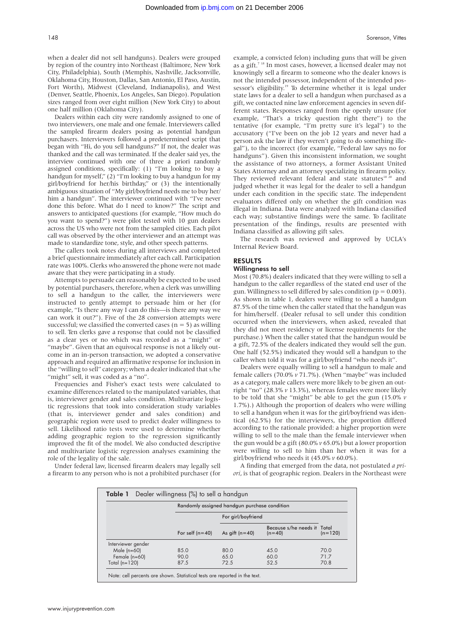when a dealer did not sell handguns). Dealers were grouped by region of the country into Northeast (Baltimore, New York City, Philadelphia), South (Memphis, Nashville, Jacksonville, Oklahoma City, Houston, Dallas, San Antonio, El Paso, Austin, Fort Worth), Midwest (Cleveland, Indianapolis), and West (Denver, Seattle, Phoenix, Los Angeles, San Diego). Population sizes ranged from over eight million (New York City) to about one half million (Oklahoma City).

Dealers within each city were randomly assigned to one of two interviewers, one male and one female. Interviewers called the sampled firearm dealers posing as potential handgun purchasers. Interviewers followed a predetermined script that began with "Hi, do you sell handguns?" If not, the dealer was thanked and the call was terminated. If the dealer said yes, the interview continued with one of three a priori randomly assigned conditions, specifically: (1) "I'm looking to buy a handgun for myself," (2) "I'm looking to buy a handgun for my girl/boyfriend for her/his birthday," or (3) the intentionally ambiguous situation of "My girl/boyfriend needs me to buy her/ him a handgun". The interviewer continued with "I've never done this before. What do I need to know?" The script and answers to anticipated questions (for example, "How much do you want to spend?") were pilot tested with 10 gun dealers across the US who were not from the sampled cities. Each pilot call was observed by the other interviewer and an attempt was made to standardize tone, style, and other speech patterns.

The callers took notes during all interviews and completed a brief questionnaire immediately after each call. Participation rate was 100%. Clerks who answered the phone were not made aware that they were participating in a study.

Attempts to persuade can reasonably be expected to be used by potential purchasers, therefore, when a clerk was unwilling to sell a handgun to the caller, the interviewers were instructed to gently attempt to persuade him or her (for example, "Is there any way I can do this—is there any way we can work it out?"). Five of the 28 conversion attempts were successful; we classified the converted cases ( $n = 5$ ) as willing to sell. Ten clerks gave a response that could not be classified as a clear yes or no which was recorded as a "might" or "maybe". Given that an equivocal response is not a likely outcome in an in-person transaction, we adopted a conservative approach and required an affirmative response for inclusion in the "willing to sell" category; when a dealer indicated that s/he "might" sell, it was coded as a "no".

Frequencies and Fisher's exact tests were calculated to examine differences related to the manipulated variables, that is, interviewer gender and sales condition. Multivariate logistic regressions that took into consideration study variables (that is, interviewer gender and sales condition) and geographic region were used to predict dealer willingness to sell. Likelihood ratio tests were used to determine whether adding geographic region to the regression significantly improved the fit of the model. We also conducted descriptive and multivariate logistic regression analyses examining the role of the legality of the sale.

Under federal law, licensed firearm dealers may legally sell a firearm to any person who is not a prohibited purchaser (for example, a convicted felon) including guns that will be given as a gift.<sup>7 18</sup> In most cases, however, a licensed dealer may not knowingly sell a firearm to someone who the dealer knows is not the intended possessor, independent of the intended possessor's eligibility.<sup>19</sup> To determine whether it is legal under state laws for a dealer to sell a handgun when purchased as a gift, we contacted nine law enforcement agencies in seven different states. Responses ranged from the openly unsure (for example, "That's a tricky question right there") to the tentative (for example, "I'm pretty sure it's legal") to the accusatory ("I've been on the job 12 years and never had a person ask the law if they weren't going to do something illegal"), to the incorrect (for example, "Federal law says no for handguns"). Given this inconsistent information, we sought the assistance of two attorneys, a former Assistant United States Attorney and an attorney specializing in firearm policy. They reviewed relevant federal and state statutes<sup>18 20</sup> and judged whether it was legal for the dealer to sell a handgun under each condition in the specific state. The independent evaluators differed only on whether the gift condition was illegal in Indiana. Data were analyzed with Indiana classified each way; substantive findings were the same. To facilitate presentation of the findings, results are presented with Indiana classified as allowing gift sales.

The research was reviewed and approved by UCLA's Internal Review Board.

## RESULTS

# Willingness to sell

Most (70.8%) dealers indicated that they were willing to sell a handgun to the caller regardless of the stated end user of the gun. Willingness to sell differed by sales condition ( $p = 0.003$ ). As shown in table 1, dealers were willing to sell a handgun 87.5% of the time when the caller stated that the handgun was for him/herself. (Dealer refusal to sell under this condition occurred when the interviewers, when asked, revealed that they did not meet residency or license requirements for the purchase.) When the caller stated that the handgun would be a gift, 72.5% of the dealers indicated they would sell the gun. One half (52.5%) indicated they would sell a handgun to the caller when told it was for a girl/boyfriend "who needs it".

Dealers were equally willing to sell a handgun to male and female callers (70.0% *v* 71.7%). (When "maybe" was included as a category, male callers were more likely to be given an outright "no" (28.3% *v* 13.3%), whereas females were more likely to be told that she "might" be able to get the gun (15.0% *v* 1.7%).) Although the proportion of dealers who were willing to sell a handgun when it was for the girl/boyfriend was identical (62.5%) for the interviewers, the proportion differed according to the rationale provided: a higher proportion were willing to sell to the male than the female interviewer when the gun would be a gift (80.0% *v* 65.0%) but a lower proportion were willing to sell to him than her when it was for a girl/boyfriend who needs it (45.0% *v* 60.0%).

A finding that emerged from the data, not postulated *a priori*, is that of geographic region. Dealers in the Northeast were

|                    |                   | Randomly assigned handgun purchase condition |                                         |           |  |  |
|--------------------|-------------------|----------------------------------------------|-----------------------------------------|-----------|--|--|
|                    |                   | For girl/boyfriend                           |                                         |           |  |  |
|                    | For self $(n=40)$ | As gift $(n=40)$                             | Because s/he needs it Total<br>$(n=40)$ | $(n=120)$ |  |  |
| Interviewer gender |                   |                                              |                                         |           |  |  |
| Male $(n=60)$      | 85.0              | 80.0                                         | 45.0                                    | 70.0      |  |  |
| Female $(n=60)$    | 90.0              | 65.0                                         | 60.0                                    | 71.7      |  |  |
| Total $(n=120)$    | 87.5              | 72.5                                         | 52.5                                    | 70.8      |  |  |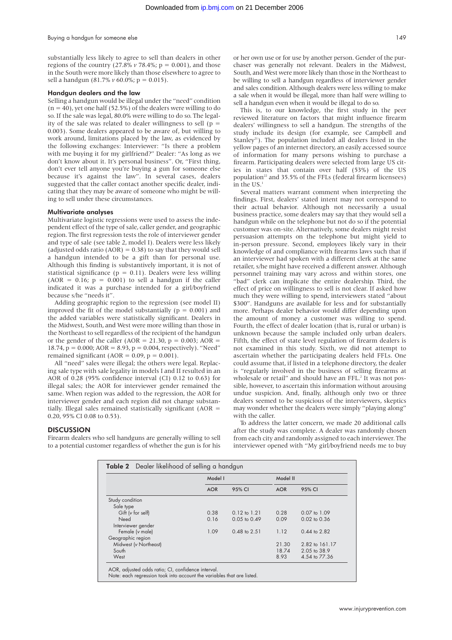#### Buying a handgun for someone else 149

substantially less likely to agree to sell than dealers in other regions of the country  $(27.8\% \nu 78.4\%; p = 0.001)$ , and those in the South were more likely than those elsewhere to agree to sell a handgun (81.7% *v* 60.0%; p = 0.015).

#### Handgun dealers and the law

Selling a handgun would be illegal under the "need" condition  $(n = 40)$ , yet one half (52.5%) of the dealers were willing to do so. If the sale was legal, 80.0% were willing to do so. The legality of the sale was related to dealer willingness to sell ( $p =$ 0.003). Some dealers appeared to be aware of, but willing to work around, limitations placed by the law, as evidenced by the following exchanges: Interviewer: "Is there a problem with me buying it for my girlfriend?" Dealer: "As long as we don't know about it. It's personal business". Or, "First thing, don't ever tell anyone you're buying a gun for someone else because it's against the law". In several cases, dealers suggested that the caller contact another specific dealer, indicating that they may be aware of someone who might be willing to sell under these circumstances.

#### Multivariate analyses

Multivariate logistic regressions were used to assess the independent effect of the type of sale, caller gender, and geographic region. The first regression tests the role of interviewer gender and type of sale (see table 2, model I). Dealers were less likely (adjusted odds ratio  $(AOR) = 0.38$ ) to say that they would sell a handgun intended to be a gift than for personal use. Although this finding is substantively important, it is not of statistical significance ( $p = 0.11$ ). Dealers were less willing  $(AOR = 0.16; p = 0.001)$  to sell a handgun if the caller indicated it was a purchase intended for a girl/boyfriend because s/he "needs it".

Adding geographic region to the regression (see model II) improved the fit of the model substantially ( $p = 0.001$ ) and the added variables were statistically significant. Dealers in the Midwest, South, and West were more willing than those in the Northeast to sell regardless of the recipient of the handgun or the gender of the caller (AOR =  $21.30$ , p = 0.003; AOR = 18.74,  $p = 0.000$ ; AOR = 8.93,  $p = 0.004$ , respectively). "Need" remained significant ( $AOR = 0.09$ ,  $p = 0.001$ ).

All "need" sales were illegal; the others were legal. Replacing sale type with sale legality in models I and II resulted in an AOR of 0.28 (95% confidence interval (CI) 0.12 to 0.63) for illegal sales; the AOR for interviewer gender remained the same. When region was added to the regression, the AOR for interviewer gender and each region did not change substantially. Illegal sales remained statistically significant  $(AOR =$ 0.20, 95% CI 0.08 to 0.53).

#### **DISCUSSION**

Firearm dealers who sell handguns are generally willing to sell to a potential customer regardless of whether the gun is for his or her own use or for use by another person. Gender of the purchaser was generally not relevant. Dealers in the Midwest, South, and West were more likely than those in the Northeast to be willing to sell a handgun regardless of interviewer gender and sales condition. Although dealers were less willing to make a sale when it would be illegal, more than half were willing to sell a handgun even when it would be illegal to do so.

This is, to our knowledge, the first study in the peer reviewed literature on factors that might influence firearm dealers' willingness to sell a handgun. The strengths of the study include its design (for example, see Campbell and Stanley<sup>21</sup>). The population included all dealers listed in the yellow pages of an internet directory, an easily accessed source of information for many persons wishing to purchase a firearm. Participating dealers were selected from large US cities in states that contain over half (53%) of the US population<sup>22</sup> and 35.5% of the FFLs (federal firearm licensees) in the US.1

Several matters warrant comment when interpreting the findings. First, dealers' stated intent may not correspond to their actual behavior. Although not necessarily a usual business practice, some dealers may say that they would sell a handgun while on the telephone but not do so if the potential customer was on-site. Alternatively, some dealers might resist persuasion attempts on the telephone but might yield to in-person pressure. Second, employees likely vary in their knowledge of and compliance with firearms laws such that if an interviewer had spoken with a different clerk at the same retailer, s/he might have received a different answer. Although personnel training may vary across and within stores, one "bad" clerk can implicate the entire dealership. Third, the effect of price on willingness to sell is not clear. If asked how much they were willing to spend, interviewers stated "about \$300". Handguns are available for less and for substantially more. Perhaps dealer behavior would differ depending upon the amount of money a customer was willing to spend. Fourth, the effect of dealer location (that is, rural or urban) is unknown because the sample included only urban dealers. Fifth, the effect of state level regulation of firearm dealers is not examined in this study. Sixth, we did not attempt to ascertain whether the participating dealers held FFLs. One could assume that, if listed in a telephone directory, the dealer is "regularly involved in the business of selling firearms at wholesale or retail" and should have an FFL.<sup>2</sup> It was not possible, however, to ascertain this information without arousing undue suspicion. And, finally, although only two or three dealers seemed to be suspicious of the interviewers, skeptics may wonder whether the dealers were simply "playing along" with the caller.

To address the latter concern, we made 20 additional calls after the study was complete. A dealer was randomly chosen from each city and randomly assigned to each interviewer. The interviewer opened with "My girl/boyfriend needs me to buy

|                       | Model I    |                  | Model II   |                  |
|-----------------------|------------|------------------|------------|------------------|
|                       | <b>AOR</b> | 95% CI           | <b>AOR</b> | 95% CI           |
| Study condition       |            |                  |            |                  |
| Sale type             |            |                  |            |                  |
| Gift (v for self)     | 0.38       | $0.12$ to $1.21$ | 0.28       | $0.07$ to $1.09$ |
| Need                  | 0.16       | 0.05 to 0.49     | 0.09       | 0.02 to 0.36     |
| Interviewer gender    |            |                  |            |                  |
| Female (v male)       | 1.09       | 0.48 to 2.51     | 1.12       | 0.44 to 2.82     |
| Geographic region     |            |                  |            |                  |
| Midwest (v Northeast) |            |                  | 21.30      | 2.82 to 161.17   |
| South                 |            |                  | 18.74      | 2.05 to 38.9     |
| West                  |            |                  | 8.93       | 4.54 to 77.36    |

AOR, adjusted odds ratio; CI, confidence interval.

Note: each regression took into account the variables that are listed.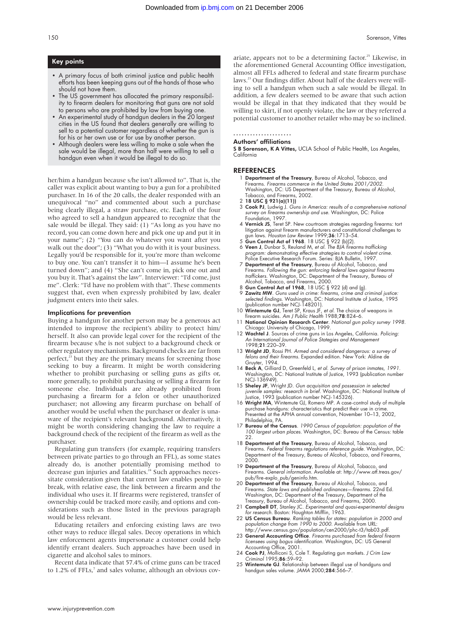# Key points

- A primary focus of both criminal justice and public health efforts has been keeping guns out of the hands of those who should not have them.
- The US government has allocated the primary responsibility to firearm dealers for monitoring that guns are not sold to persons who are prohibited by law from buying one.
- An experimental study of handgun dealers in the 20 largest cities in the US found that dealers generally are willing to sell to a potential customer regardless of whether the gun is for his or her own use or for use by another person.
- Although dealers were less willing to make a sale when the sale would be illegal, more than half were willing to sell a handgun even when it would be illegal to do so.

her/him a handgun because s/he isn't allowed to". That is, the caller was explicit about wanting to buy a gun for a prohibited purchaser. In 16 of the 20 calls, the dealer responded with an unequivocal "no" and commented about such a purchase being clearly illegal, a straw purchase, etc. Each of the four who agreed to sell a handgun appeared to recognize that the sale would be illegal. They said: (1) "As long as you have no record, you can come down here and pick one up and put it in your name"; (2) "You can do whatever you want after you walk out the door"; (3) "What you do with it is your business. Legally you'd be responsible for it, you're more than welcome to buy one. You can't transfer it to him—I assume he's been turned down"; and (4) "She can't come in, pick one out and you buy it. That's against the law". Interviewer: "I'd come, just me". Clerk: "I'd have no problem with that". These comments suggest that, even when expressly prohibited by law, dealer judgment enters into their sales.

#### Implications for prevention

Buying a handgun for another person may be a generous act intended to improve the recipient's ability to protect him/ herself. It also can provide legal cover for the recipient of the firearm because s/he is not subject to a background check or other regulatory mechanisms. Background checks are far from perfect,<sup>23</sup> but they are the primary means for screening those seeking to buy a firearm. It might be worth considering whether to prohibit purchasing or selling guns as gifts or, more generally, to prohibit purchasing or selling a firearm for someone else. Individuals are already prohibited from purchasing a firearm for a felon or other unauthorized purchaser; not allowing any firearm purchase on behalf of another would be useful when the purchaser or dealer is unaware of the recipient's relevant background. Alternatively, it might be worth considering changing the law to require a background check of the recipient of the firearm as well as the purchaser.

Regulating gun transfers (for example, requiring transfers between private parties to go through an FFL), as some states already do, is another potentially promising method to decrease gun injuries and fatalities.<sup>24</sup> Such approaches necessitate consideration given that current law enables people to break, with relative ease, the link between a firearm and the individual who uses it. If firearms were registered, transfer of ownership could be tracked more easily, and options and considerations such as those listed in the previous paragraph would be less relevant.

Educating retailers and enforcing existing laws are two other ways to reduce illegal sales. Decoy operations in which law enforcement agents impersonate a customer could help identify errant dealers. Such approaches have been used in cigarette and alcohol sales to minors.

Recent data indicate that 57.4% of crime guns can be traced to 1.2% of FFLs,<sup>7</sup> and sales volume, although an obvious covariate, appears not to be a determining factor.<sup>25</sup> Likewise, in the aforementioned General Accounting Office investigation, almost all FFLs adhered to federal and state firearm purchase laws.<sup>23</sup> Our findings differ. About half of the dealers were willing to sell a handgun when such a sale would be illegal. In addition, a few dealers seemed to be aware that such action would be illegal in that they indicated that they would be willing to skirt, if not openly violate, the law or they referred a potential customer to another retailer who may be so inclined.

# .....................

#### Authors' affiliations

S B Sorenson, K A Vittes, UCLA School of Public Health, Los Angeles, California

#### REFERENCES

- 1 Department of the Treasury, Bureau of Alcohol, Tobacco, and Firearms. *Firearms commerce in the United States 2001/2002.* Washington, DC: US Department of the Treasury, Bureau of Alcohol, Tobacco, and Firearms, 2002.
- 
- 2 18 USC § 921(a)(11)) 3 Cook PJ, Ludwig J. *Guns in America: results of a comprehensive national survey on firearms ownership and use.* Washington, DC: Police
- Foundation, 1997.<br>4 **Vernick JS**, Teret SP. New courtroom strategies regarding firearms: tort litigation against firearm manufacturers and constitutional challenges to gun laws. *Houston Law Review* 1999;36:1713–54. 5 Gun Control Act of 1968. 18 USC § 922 (b)(2). 6 Veen J, Dunbar S, Reuland M, *et al. The BJA firearms trafficking*
- 
- *program: demonstrating effective strategies to control violent crime*. Police Executive Research Forum. Series: BJA Bulletin, 1997.
- 7 Department of the Treasury, Bureau of Alcohol, Tobacco, and Firearms*. Following the gun: enforcing federal laws against firearms traffickers.* Washington, DC: Department of the Treasury, Bureau of Alcohol, Tobacco, and Firearms, 2000.
- 8 Gun Control Act of 1968, 18 USC § 922 (d) and (g).
- 9 **Zawitz MW**. Guns used in crime: firearms, crime and criminal justice:<br>selected findings. Washington, DC: National Institute of Justice, 1995<br>(publication number NCJ-148201).<br>10 **Wintemute GJ**, Teret SP, Kraus JF, *et al*
- 
- 11 National Opinion Research Center. *National gun policy survey 1998.* Chicago: University of Chicago, 1999.
- 12 Wachtel J. Sources of crime guns in Los Angeles, California. *Policing: An International Journal of Police Stategies and Management* 1998;21:220–39.
- 13 Wright JD, Rossi PH. *Armed and considered dangerous: a survey of felons and their firearms.* Expanded edition. New York: Aldine de
- Gruyter, 1994. 14 Beck A, Gilliard D, Greenfeld L, *et al. Survey of prison inmates, 1991.* Washington, DC: National Institute of Justice, 1993 (publication number NCJ-136949).
- 15 Sheley JF, Wright JD. *Gun acquisition and possession in selected juvenile samples: research in brief*. Washington, DC: National Institute of Justice, 1993 (publication number NCJ-145326).
- 16 Wright MA, Wintemute GJ, Romero MP. A case-control study of multiple purchase handguns: characteristics that predict their use in crime. Presented at the APHA annual convention, November 10–13, 2002, Philadelphia, PA.
- 17 Bureau of the Census. *1990 Census of population: population of the 100 largest urban places.* Washington, DC: Bureau of the Census: table 22.
- 18 Department of the Treasury, Bureau of Alcohol, Tobacco, and Firearms. *Federal firearms regulations reference guide*. Washington, DC: Department of the Treasury, Bureau of Alcohol, Tobacco, and Firearms, 2000.
- 19 Department of the Treasury, Bureau of Alcohol, Tobacco, and Firearms. *General information.* Available at: http://www.atf.treas.gov/ pub/fire-explo\_pub/geninfo.htm.
- 20 Department of the Treasury, Bureau of Alcohol, Tobacco, and Firearms. *State laws and published ordinances—firearms.* 22nd Ed. Washington, DC: Department of the Treasury, Department of the Treasury, Bureau of Alcohol, Tobacco, and Firearms, 2000.
- 
- 21 **Campbell DT**, Stanley JC. Experimental and quasi-experimental designs<br>for research. Boston: Houghton Mifflin, 1963.<br>22 **US Census Bureau**. Ranking tables for states: population in 2000 and<br>population change from 1990 t
- *licensees using bogus identification*. Washington, DC: US General
- Accounting Office, 2001. 24 Cook PJ, Molliconi S, Cole T. Regulating gun markets. *J Crim Law Criminol* 1995;86:59–92.
- 25 Wintemute GJ. Relationship between illegal use of handguns and handgun sales volume. *JAMA* 2000;284:566–7.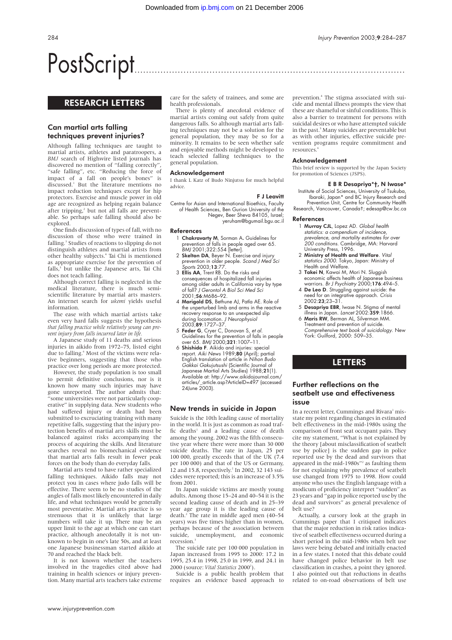# PostScript..............................................................................................

# RESEARCH LETTERS

# Can martial arts falling techniques prevent injuries?

Although falling techniques are taught to martial artists, athletes and paratroopers, a *BMJ* search of Highwire listed journals has discovered no mention of "falling correctly", "safe falling", etc. "Reducing the force of impact of a fall on people's bones" is discussed.<sup>1</sup> But the literature mentions no impact reduction techniques except for hip protectors. Exercise and muscle power in old age are recognized as helping regain balance after tripping,<sup>2</sup> but not all falls are preventable. So perhaps safe falling should also be explored.

One finds discussion of types of fall, with no discussion of those who were trained in falling.<sup>3</sup> Studies of reactions to slipping do not distinguish athletes and martial artists from other healthy subjects.4 Tai Chi is mentioned as appropriate exercise for the prevention of falls,<sup>5</sup> but unlike the Japanese arts, Tai Chi does not teach falling.

Although correct falling is neglected in the medical literature, there is much semiscientific literature by martial arts masters. An internet search for *ukemi* yields useful information.

The ease with which martial artists take even very hard falls suggests the hypothesis *that falling practice while relatively young can prevent injury from falls incurred later in life.*

A Japanese study of 11 deaths and serious injuries in aikido from 1972–75, listed eight due to falling.<sup>6</sup> Most of the victims were relative beginners, suggesting that those who practice over long periods are more protected.

However, the study population is too small to permit definitive conclusions, nor is it known how many such injuries may have gone unreported. The author admits that: "some universities were not particularly cooperative" in supplying data. New students who had suffered injury or death had been submitted to excruciating training with many repetitive falls, suggesting that the injury protection benefits of martial arts skills must be balanced against risks accompanying the process of acquiring the skills. And literature searches reveal no biomechanical evidence that martial arts falls result in fewer peak forces on the body than do everyday falls.

Martial arts tend to have rather specialized falling techniques. Aikido falls may not protect you in cases where judo falls will be effective. There seem to be no studies of the angles of falls most likely encountered in daily life, and what techniques would be generally most preventative. Martial arts practice is so strenuous that it is unlikely that large numbers will take it up. There may be an upper limit to the age at which one can start practice, although anecdotally it is not unknown to begin in one's late 50s, and at least one Japanese businessman started aikido at 70 and reached the black belt.

It is not known whether the teachers involved in the tragedies cited above had training in health sciences or injury prevention. Many martial arts teachers take extreme

care for the safety of trainees, and some are health professionals.

There is plenty of anecdotal evidence of martial artists coming out safely from quite dangerous falls. So although martial arts falling techniques may not be a solution for the general population, they may be so for a minority. It remains to be seen whether safe and enjoyable methods might be developed to teach selected falling techniques to the general population.

#### Acknowledgement

I thank L Katz of Budo Ninjutsu for much helpful advice.

#### F J Leavitt

Centre for Asian and International Bioethics, Faculty of Health Sciences, Ben Gurion University of the Negev, Beer Sheva 84105, Israel; yeruham@bgumail.bgu.ac.il

#### **References**

- 1 Chakravarty M, Sorman A. Guidelines for prevention of falls in people aged over 65. *BMJ* 2001;322:554 [letter].
- 2 Skelton DA, Beyer N. Exercise and injury prevention in older people. *Scand J Med Sci Sports* 2003;13:77.
- 3 Ellis AA, Trent RB. Do the risks and consequences of hospitalized fall injuries among older adults in California vary by type of fall? *J Gerontol A Biol Sci Med Sci* 2001;56:M686–92.
- 4 Marigold DS, Bethune AJ, Patla AE. Role of the unperturbed limb and arms in the reactive recovery response to an unexpected slip during locomotion. *J Neurophysiol* 2003;89:1727–37.
- 5 Feder G, Cryer C, Donovan S, *et al*. Guidelines for the prevention of falls in people over 65. *BMJ* 2000;321:1007–11.
- 6 Shishida F. Aikido and injuries: special report. *Aiki News* 1989;80 (April); partial English translation of article in *Nihon Budo Gakkai Gakujutsushi* (Scientific Journal of Japanese Martial Arts Studies) 1988;21(1). Available at: http://www.aikidojournal.com/ articles/\_article.asp?ArticleID=497 (accessed 24June 2003).

#### New trends in suicide in Japan

Suicide is the 10th leading cause of mortality in the world. It is just as common as road traffic deaths<sup>1</sup> and  $a$  leading cause of death among the young. 2002 was the fifth consecutive year where there were more than 30 000 suicide deaths. The rate in Japan, 25 per 100 000, greatly exceeds that of the UK (7.4 per 100 000) and that of the US or Germany, 12 and 15.8, respectively.2 In 2002, 32 143 suicides were reported; this is an increase of 3.5% from 2001.

In Japan suicide victims are mostly young adults. Among those 15–24 and 40–54 it is the second leading cause of death and in 25–39 year age group it is the leading cause of death.2 The rate in middle aged men (40–54 years) was five times higher than in women, perhaps because of the association between suicide, unemployment, and economic recession.<sup>3</sup>

The suicide rate per 100 000 population in Japan increased from 1995 to 2000: 17.2 in 1995, 25.4 in 1998, 25.0 in 1999, and 24.1 in 2000 (source: Vital Statistics 2000<sup>2</sup>).

Suicide is a public health problem that requires an evidence based approach to prevention.4 The stigma associated with suicide and mental illness prompts the view that these are shameful or sinful conditions. This is also a barrier to treatment for persons with suicidal desires or who have attempted suicide in the past.<sup>5</sup> Many suicides are preventable but as with other injuries, effective suicide prevention programs require commitment and resources.

#### Acknowledgement

This brief review is supported by the Japan Society for promotion of Sciences (JSPS).

# E B R Desapriya\*†, N Iwase\*

Institute of Social Sciences, University of Tsukuba, Ibaraki, Japan\* and BC Injury Research and Prevention Unit, Centre for Community Health Research, Vancouver, Canada†; edesap@cw.bc.ca

#### References

- 1 Murray CJL, Lopez AD. *Global health statistics: a compendium of incidence, prevalence, and mortality estimates for over 200 conditions*. Cambridge, MA: Harvard University Press, 1996.
- 2 Ministry of Health and Welfare. *Vital statistics 2000*. Tokyo, Japan: Ministry of Health and Welfare.
- 3 Takei N, Kawai M, Mori N. Sluggish economic affects health of Japanese business warriors. *Br J Psychiatry* 2000;176:494–5.
- 4 De Leo D. Struggling against suicide: the need for an integrative approach. *Crisis* 2002:23;23–31.
- 5 Desapriya EBR, Iwase N. Stigma of mental
- illness in Japan. *Lancet* 2002:359:1866. 6 Maris RW, Berman AL, Silverman MM. Treatment and prevention of suicide. *Comprehensive text book of suicidology.* New York: Guilford, 2000: 509–35.

# LETTERS

# Further reflections on the seatbelt use and effectiveness issue

In a recent letter, Cummings and Rivara<sup>1</sup> misstate my point regarding changes in estimated belt effectiveness in the mid-1980s using the comparison of front seat occupant pairs. They cite my statement, "What is not explained by the theory [about misclassification of seatbelt use by police] is the sudden gap in police reported use by the dead and survivors that appeared in the mid-1980s $^{\prime\prime}$  as faulting them for not explaining why prevalence of seatbelt use changed from 1975 to 1998. How could anyone who uses the English language with a modicum of proficiency interpret "sudden" as 23 years and "gap in police reported use by the dead and survivors" as general prevalence of belt use?

Actually, a cursory look at the graph in Cummings paper that I critiqued indicates that the major reduction in risk ratios indicative of seatbelt effectiveness occurred during a short period in the mid-1980s when belt use laws were being debated and initially enacted in a few states. I noted that this debate could have changed police behavior in belt use classification in crashes, a point they ignored. I also pointed out that reductions in deaths related to on-road observations of belt use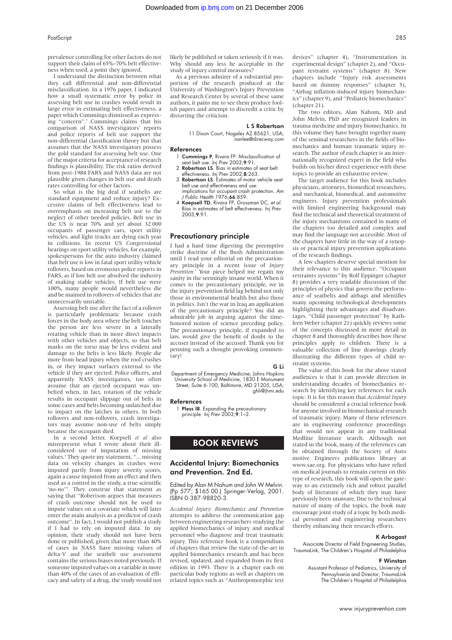#### PostScript 285

prevalence controlling for other factors do not support their claim of 65%–70% belt effectiveness when used, a point they ignored.

I understand the distinction between what they call differential and non-differential misclassification. In a 1976 paper, I indicated how a small systematic error by police in assessing belt use in crashes would result in large error in estimating belt effectiveness, a paper which Cummings dismissed as expressing "concern".3 Cummings claims that his comparison of NASS investigators' reports and police reports of belt use support the non-differential classification theory but that assumes that the NASS investigators possess the gold standard for assessing belt use. One of the major criteria for acceptance of research findings is plausibility. The risk ratios derived from post-1984 FARS and NASS data are not plausible given changes in belt use and death rates controlling for other factors.

So what is the big deal if seatbelts are standard equipment and reduce injury? Excessive claims of belt effectiveness lead to overemphasis on increasing belt use to the neglect of other needed policies. Belt use in the US is near 70% and yet about 32 000 occupants of passenger cars, sport utility vehicles, and light trucks are dying each year in collisions. In recent US Congressional hearings on sport utility vehicles, for example, spokespersons for the auto industry claimed that belt use is low in fatal sport utility vehicle rollovers, based on erroneous police reports in FARS, as if low belt use absolved the industry of making stable vehicles. If belt use were 100%, many people would nevertheless die and be maimed in rollovers of vehicles that are unnecessarily unstable.

Assessing belt use after the fact of a rollover is particularly problematic because crash forces in the body area where the belt touches the person are less severe in a laterally rotating vehicle than in more direct impacts with other vehicles and objects, so that belt marks on the torso may be less evident and damage to the belts is less likely. People die more from head injury when the roof crushes in, or they impact surfaces external to the vehicle if they are ejected. Police officers, and apparently NASS investigators, too often assume that an ejected occupant was unbelted when, in fact, rotation of the vehicle results in occupant slippage out of belts in some cases and belts becoming unlatched due to impact on the latches in others. In both rollovers and non-rollovers, crash investigators may assume non-use of belts simply because the occupant died.

In a second letter, Koepsell *et al* also misrepresent what I wrote about their illconsidered use of imputation of missing values.4 They quote my statement, "... missing data on velocity changes in crashes were imputed partly from injury severity scores, again a cause imputed from an effect and then used as a control in the study, a true scientific 'no-no'". They construe that statement as saying that "Robertson argues that measures of crash outcome should not be used to impute values on a covariate which will later enter the main analysis as a predictor of crash outcome". In fact, I would not publish a study if I had to rely on imputed data. In my opinion, their study should not have been done or published, given that more than 40% of cases in NASS have missing values of delta-V and the seatbelt use assessment contains the serious biases noted previously. If someone imputed values on a variable in more than 40% of the cases of an evaluation of efficacy and safety of a drug, the study would not

likely be published or taken seriously if it was. Why should any less be acceptable in the study of injury control measures?

As a previous admirer of a substantial proportion of the research produced at the University of Washington's Injury Prevention and Research Center by several of these same authors, it pains me to see them produce foolish papers and attempt to discredit a critic by distorting the criticism.

L S Robertson

11 Dixon Court, Nogales AZ 85621, USA; nanlee@direcway.com

#### References

- 1 **Cummings P**, Rivara FP. Misclassification of seat belt use. *Inj Prev* 2003;9:91. 2 Robertson LS. Bias in estimates of seat belt
- effectiveness. *Inj Prev* 2002;8:263. 3 Robertson LS. Estimates of motor vehicle seat
- belt use and effectiveness and use: implications for occupant crash protection. *Am J Public Health* 1976;66:859.
- 4 Koepsell TD, Rivara FP, Grossman DC, *et al*. Bias in estimates of belt effectiveness. *Inj Prev*  $2003.9.91$

### Precautionary principle

I had a hard time digesting the preemptive strike doctrine of the Bush Administration until I read your editorial on the precautionary principle in a recent issue of *Injury Prevention.*<sup>1</sup> Your piece helped me regain my sanity in the seemingly insane world. When it comes to the precautionary principle, we in the injury prevention field lag behind not only those in environmental health but also those in politics. Isn't the war in Iraq an application of the precautionary principle? You did an admirable job in arguing against the timehonored notion of science preceding policy. The precautionary principle, if expanded to law, would give the benefit of doubt to the accuser instead of the accused. Thank you for penning such a thought provoking commentary!

#### G Li

Department of Emergency Medicine, Johns Hopkins University School of Medicine, 1830 E Monument Street, Suite 6-100, Baltimore, MD 21205, USA; ghli@jhmi.edu

#### References

1 Pless IB. Expanding the precautionary principle. *Inj Prev* 2003;9:1–2.

# BOOK REVIEWS

### Accidental Injury: Biomechanics and Prevention. 2nd Ed.

Edited by Alan M Nahum and John W Melvin. (Pp 577; \$165.00.) Springer-Verlag, 2001. ISBN 0-387-98820-3.

*Accidental Injury: Biomechanics and Prevention* attempts to address the communication gap between engineering researchers studying the applied biomechanics of injury and medical personnel who diagnose and treat traumatic injury. This reference book is a compendium of chapters that review the state-of-the-art in applied biomechanics research and has been revised, updated, and expanded from its first edition in 1993. There is a chapter each on particular body regions as well as chapters on related topics such as "Anthropomorphic test

devices" (chapter 4), "Instrumentation in experimental design" (chapter 2), and "Occupant restraint systems" (chapter 8). New chapters include "Injury risk assessments based on dummy responses" (chapter 5), "Airbag inflation-induced injury biomechanics" (chapter 9), and "Pediatric biomechanics" (chapter 21).

The two editors, Alan Nahum, MD and John Melvin, PhD are recognized leaders in trauma medicine and injury biomechanics. In this volume they have brought together many of the seminal researchers in the fields of biomechanics and human traumatic injury research. The author of each chapter is an internationally recognized expert in the field who builds on his/her direct experience with these topics to provide an exhaustive review.

The target audience for this book includes physicians, attorneys, biomedical researchers, and mechanical, biomedical, and automotive engineers. Injury prevention professionals with limited engineering background may find the technical and theoretical treatment of the injury mechanisms contained in many of the chapters too detailed and complex and may find the language not accessible. Most of the chapters have little in the way of a synopsis or practical injury prevention applications of the research findings.

A few chapters deserve special mention for their relevance to this audience. "Occupant restraints systems" by Rolf Eppinger (chapter 8) provides a very readable discussion of the principles of physics that govern the performance of seatbelts and airbags and identifies many upcoming technological developments highlighting their advantages and disadvantages. "Child passenger protection" by Kathleen Weber (chapter 21) quickly reviews some of the concepts discussed in more detail in chapter 8 and thoroughly describes how these principles apply to children. There is a valuable collection of line drawings clearly illustrating the different types of child restraint systems.

The value of this book for the above stated audiences is that it can provide direction in understanding decades of biomechanics research by identifying key references for each topic. It is for this reason that *Accidental Injury* should be considered a crucial reference book for anyone involved in biomechanical research of traumatic injury. Many of these references are in engineering conference proceedings that would not appear in any traditional Medline literature search. Although not stated in the book, many of the references can be obtained through the Society of Auto motive Engineers publications library at www.sae.org. For physicians who have relied on medical journals to remain current on this type of research, this book will open the gateway to an extremely rich and robust parallel body of literature of which they may have previously been unaware. Due to the technical nature of many of the topics, the book may encourage joint study of a topic by both medical personnel and engineering researchers thereby enhancing their research efforts.

#### K Arbogast

Associate Director of Field Engineering Studies, TraumaLink, The Children's Hospital of Philadelphia

#### F Winston

Assistant Professor of Pediatrics, University of Pennsylvania and Director, TraumaLink The Children's Hospital of Philadelphia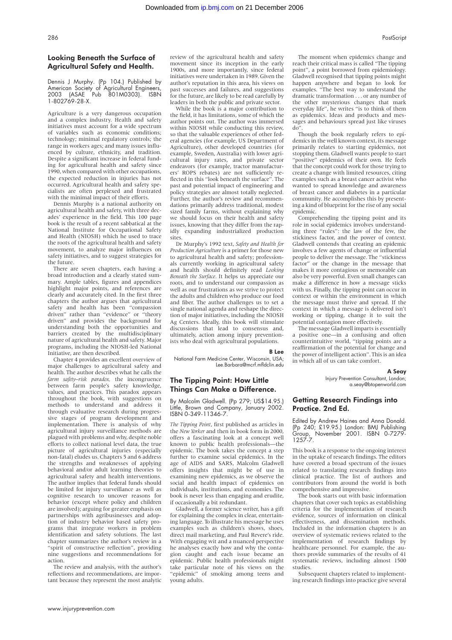#### Downloaded from [ip.bmj.com](http://ip.bmj.com) on 21 December 2006

## Looking Beneath the Surface of Agricultural Safety and Health.

Dennis J Murphy. (Pp 104.) Published by American Society of Agricultural Engineers, 2003 (ASAE Pub 801M0303). ISBN 1-802769-28-X.

Agriculture is a very dangerous occupation and a complex industry. Health and safety initiatives must account for a wide spectrum of variables such as economic conditions; technology; minimal regulatory controls; the range in workers ages; and many issues influenced by culture, ethnicity, and tradition. Despite a significant increase in federal funding for agricultural health and safety since 1990, when compared with other occupations, the expected reduction in injuries has not occurred. Agricultural health and safety specialists are often perplexed and frustrated with the minimal impact of their efforts.

Dennis Murphy is a national authority on agricultural health and safety, with three decades' experience in the field. This 100 page book is the result of a recent sabbatical at the National Institute for Occupational Safety and Health (NIOSH) which he used to trace the roots of the agricultural health and safety movement, to analyze major influences on safety initiatives, and to suggest strategies for the future.

There are seven chapters, each having a broad introduction and a clearly stated summary. Ample tables, figures and appendices highlight major points, and references are clearly and accurately cited. In the first three chapters the author argues that agricultural safety and health has been "compassion driven" rather than "evidence" or "theory driven" and provides the background for understanding both the opportunities and barriers created by the multidisciplinary nature of agricultural health and safety. Major programs, including the NIOSH-led National Initiative, are then described.

Chapter 4 provides an excellent overview of major challenges to agricultural safety and health. The author describes what he calls the *farm safety–risk paradox,* the incongruence between farm people's safety knowledge, values, and practices. This paradox appears throughout the book, with suggestions on methods to understand and address it through evaluative research during progressive stages of program development and implementation. There is analysis of why agricultural injury surveillance methods are plagued with problems and why, despite noble efforts to collect national level data, the true picture of agricultural injuries (especially non-fatal) eludes us. Chapters 5 and 6 address the strengths and weaknesses of applying behavioral and/or adult learning theories to agricultural safety and health interventions. The author implies that federal funds should be limited for injury surveillance as well as cognitive research to uncover reasons for behavior (except where policy and children are involved); arguing for greater emphasis on partnerships with agribusinesses and adoption of industry behavior based safety programs that integrate workers in problem identification and safety solutions. The last chapter summarizes the author's review in a "spirit of constructive reflection", providing nine suggestions and recommendations for action.

The review and analysis, with the author's reflections and recommendations, are important because they represent the most analytic

review of the agricultural health and safety movement since its inception in the early 1900s, and more importantly, since federal initiatives were undertaken in 1989. Given the author's reputation in this area, his views on past successes and failures, and suggestions for the future, are likely to be read carefully by leaders in both the public and private sector.

While the book is a major contribution to the field, it has limitations, some of which the author points out. The author was immersed within NIOSH while conducting this review, so that the valuable experiences of other federal agencies (for example, US Department of Agriculture), other developed countries (for example, Sweden, Australia) with lower agricultural injury rates, and private sector endeavors (for example, tractor manufacturers' ROPS rebates) are not sufficiently reflected in this "look beneath the surface". The past and potential impact of engineering and policy strategies are almost totally neglected. Further, the author's review and recommendations primarily address traditional, modest sized family farms, without explaining why we should focus on their health and safety issues, knowing that they differ from the rapidly expanding industrialized production sites.

Dr Murphy's 1992 text, *Safety and Health for Production Agriculture* is a primer for those new to agricultural health and safety; professionals currently working in agricultural safety and health should definitely read *Looking Beneath the Surface*. It helps us appreciate our roots, and to understand our compassion as well as our frustrations as we strive to protect the adults and children who produce our food and fiber. The author challenges us to set a single national agenda and reshape the direction of major initiatives, including the NIOSH Ag Centers. Ideally, this book will stimulate discussions that lead to consensus and, ultimately, action among injury preventionists who deal with agricultural populations.

#### B Lee

National Farm Medicine Center, Wisconsin, USA; Lee.Barbara@mcrf.mfldclin.edu

## The Tipping Point: How Little Things Can Make a Difference.

By Malcolm Gladwell. (Pp 279; US\$14.95.) Little, Brown and Company, January 2002. ISBN 0-349-11346-7.

*The Tipping Point*, first published as articles in the *New Yorker* and then in book form in 2000, offers a fascinating look at a concept well known to public health professionals—the epidemic. The book takes the concept a step further to examine social epidemics. In the age of AIDS and SARS, Malcolm Gladwell offers insights that might be of use in examining new epidemics, as we observe the social and health impact of epidemics on individuals, institutions, and economies. The book is never less than engaging and erudite, if occasionally a bit redundant.

Gladwell, a former science writer, has a gift for explaining the complex in clear, entertaining language. To illustrate his message he uses examples such as children's shows, shoes, direct mail marketing, and Paul Revere's ride. With engaging wit and a nuanced perspective he analyses exactly how and why the contagion caught and each issue became an epidemic. Public health professionals might take particular note of his views on the "epidemic" of smoking among teens and young adults.

The moment when epidemics change and reach their critical mass is called "The tipping point", a point borrowed from epidemiology. Gladwell recognised that tipping points might happen anywhere and began to look for examples. "The best way to understand the dramatic transformation . . . or any number of the other mysterious changes that mark everyday life", he writes "is to think of them as epidemics. Ideas and products and messages and behaviours spread just like viruses do".

Though the book regularly refers to epidemics in the well known context, its message primarily relates to starting epidemics, not stopping them. Gladwell wants people to start "positive" epidemics of their own. He feels that the concept could work for those trying to create a change with limited resources, citing examples such as a breast cancer activist who wanted to spread knowledge and awareness of breast cancer and diabetes in a particular community. He accomplishes this by presenting a kind of blueprint for the rise of any social epidemic.

Comprehending the tipping point and its role in social epidemics involves understanding three "rules": the law of the few, the stickiness factor, and the power of context. Gladwell contends that creating an epidemic involves a few agents of change or influential people to deliver the message. The "stickiness factor" or the change in the message that makes it more contagious or memorable can also be very powerful. Even small changes can make a difference in how a message sticks with us. Finally, the tipping point can occur in context or within the environment in which the message must thrive and spread. If the context in which a message is delivered isn't working or tipping, change it to suit the potential contagion more effectively.

The message Gladwell imparts is essentially a positive one—in a confusing and often counterintuitive world, "tipping points are a reaffirmation of the potential for change and the power of intelligent action". This is an idea in which all of us can take comfort.

> A Seay Injury Prevention Consultant, London; a.seay@btopenworld.com

# Getting Research Findings into Practice. 2nd Ed.

Edited by Andrew Haines and Anna Donald. (Pp 240; £19.95.) London: BMJ Publishing Group, November 2001. ISBN 0-7279- 1257-7.

This book is a response to the ongoing interest in the uptake of research findings. The editors have covered a broad spectrum of the issues related to translating research findings into clinical practice. The list of authors and contributors from around the world is both comprehensive and impressive.

The book starts out with basic information chapters that cover such topics as establishing criteria for the implementation of research evidence, sources of information on clinical effectiveness, and dissemination methods. Included in the information chapters is an overview of systematic reviews related to the implementation of research findings by healthcare personnel. For example, the authors provide summaries of the results of 41 systematic reviews, including almost 1500 studies.

Subsequent chapters related to implementing research findings into practice give several

#### 286 PostScript